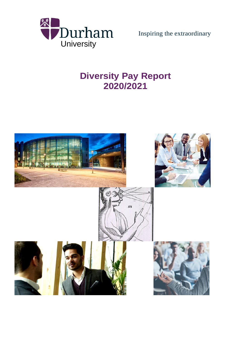

Inspiring the extraordinary

# **Diversity Pay Report 2020/2021**

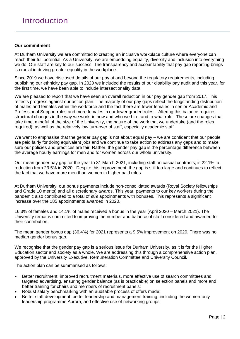#### **Our commitment**

At Durham University we are committed to creating an inclusive workplace culture where everyone can reach their full potential. As a University, we are embedding equality, diversity and inclusion into everything we do. Our staff are key to our success. The transparency and accountability that pay gap reporting brings is crucial in driving greater equality in the workplace.

Since 2019 we have disclosed details of our pay at and beyond the regulatory requirements, including publishing our ethnicity pay gap. In 2020 we included the results of our disability pay audit and this year, for the first time, we have been able to include intersectionality data.

We are pleased to report that we have seen an overall reduction in our pay gender gap from 2017. This reflects progress against our action plan. The majority of our pay gaps reflect the longstanding distribution of males and females within the workforce and the fact there are fewer females in senior Academic and Professional Support roles and more females in our lower graded roles. Altering this balance requires structural changes in the way we work, in how and who we hire, and to what role. These are changes that take time, mindful of the size of the University, the nature of the work that we undertake (and the roles required), as well as the relatively low turn-over of staff, especially academic staff.

We want to emphasise that the gender pay gap is not about equal pay – we are confident that our people are paid fairly for doing equivalent jobs and we continue to take action to address any gaps and to make sure our policies and practices are fair. Rather, the gender pay gap is the percentage difference between the average hourly earnings for men and for women across our whole university.

Our mean gender pay gap for the year to 31 March 2021, including staff on casual contracts, is 22.1%, a reduction from 23.5% in 2020. Despite this improvement, the gap is still too large and continues to reflect the fact that we have more men than women in higher paid roles.

At Durham University, our bonus payments include non-consolidated awards (Royal Society fellowships and Grade 10 merits) and all discretionary awards. This year, payments to our key workers during the pandemic also contributed to a total of 989 appointments with bonuses. This represents a significant increase over the 185 appointments awarded in 2020.

16.3% of females and 14.1% of males received a bonus in the year (April 2020 – March 2021). The University remains committed to improving the number and balance of staff considered and awarded for their contribution.

The mean gender bonus gap (36.4%) for 2021 represents a 9.5% improvement on 2020. There was no median gender bonus gap.

We recognise that the gender pay gap is a serious issue for Durham University, as it is for the Higher Education sector and society as a whole. We are addressing this through a comprehensive action plan, approved by the University Executive, Remuneration Committee and University Council.

The action plan can be summarised as follows:

- Better recruitment: improved recruitment materials, more effective use of search committees and targeted advertising, ensuring gender balance (as is practicable) on selection panels and more and better training for chairs and members of recruitment panels;
- Robust salary benchmarking with an auditable process of offers made;
- Better staff development: better leadership and management training, including the women-only leadership programme Aurora, and effective use of networking groups;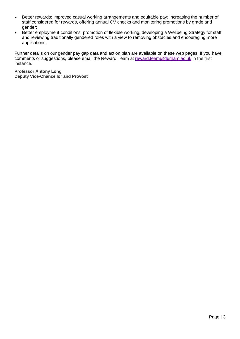- Better rewards: improved casual working arrangements and equitable pay; increasing the number of staff considered for rewards, offering annual CV checks and monitoring promotions by grade and gender;
- Better employment conditions: promotion of flexible working, developing a Wellbeing Strategy for staff and reviewing traditionally gendered roles with a view to removing obstacles and encouraging more applications.

Further details on our gender pay gap data and action plan are available on these web pages. If you have comments or suggestions, please email the Reward Team at [reward.team@durham.ac.uk](mailto:reward.team@durham.ac.uk) in the first instance.

**Professor Antony Long Deputy Vice-Chancellor and Provost**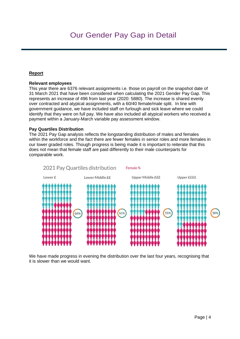## **Report**

#### **Relevant employees**

This year there are 6376 relevant assignments i.e. those on payroll on the snapshot date of 31 March 2021 that have been considered when calculating the 2021 Gender Pay Gap. This represents an increase of 496 from last year (2020: 5880). The increase is shared evenly over contracted and atypical assignments, with a 60/40 female/male split. In line with government guidance, we have included staff on furlough and sick leave where we could identify that they were on full pay. We have also included all atypical workers who received a payment within a January-March variable pay assessment window.

#### **Pay Quartiles Distribution**

The 2021 Pay Gap analysis reflects the longstanding distribution of males and females within the workforce and the fact there are fewer females in senior roles and more females in our lower graded roles. Though progress is being made it is important to reiterate that this does not mean that female staff are paid differently to their male counterparts for comparable work.



We have made progress in evening the distribution over the last four years, recognising that it is slower than we would want.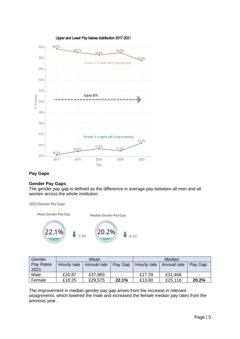

## **Pay Gaps**

#### **Gender Pay Gaps**

The gender pay gap is defined as the difference in average pay between all men and all women across the whole institution.



| Gender    |             | Mean        |         |             | Median      |         |
|-----------|-------------|-------------|---------|-------------|-------------|---------|
| Pay Rates | Hourly rate | Annual rate | Pay Gap | Hourly rate | Annual rate | Pay Gap |
| 2021      |             |             |         |             |             |         |
| Male      | £20.87      | £37,983     | ٠       | £17.29      | £31,468     |         |
| Female    | £16.25      | £29,575     | 22.1%   | £13.80      | £25,116     | 20.2%   |

The improvement in median gender pay gap arises from the increase in relevant assignments, which lowered the male and increased the female median pay rates from the previous year.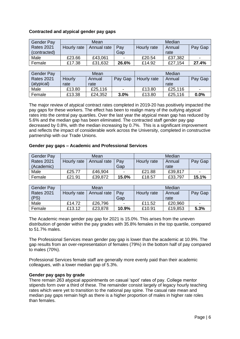#### **Contracted and atypical gender pay gaps**

| <b>Gender Pay</b> |             | Mean        |       |             | Median  |         |
|-------------------|-------------|-------------|-------|-------------|---------|---------|
| <b>Rates 2021</b> | Hourly rate | Annual rate | Pay   | Hourly rate | Annual  | Pay Gap |
| (contracted)      |             |             | Gap   |             | rate    |         |
| Male              | £23.66      | £43,061     |       | £20.54      | £37,382 | -       |
| Female            | £17.38      | £31,632     | 26.6% | £14.92      | £27.154 | 27.4%   |
|                   |             |             |       |             |         |         |

| <b>Gender Pay</b> |        | Mean    |         |             | Median  |         |
|-------------------|--------|---------|---------|-------------|---------|---------|
| <b>Rates 2021</b> | Hourly | Annual  | Pay Gap | Hourly rate | Annual  | Pay Gap |
| (atypical)        | rate   | rate    |         |             | rate    |         |
| Male              | £13.80 | £25,116 | -       | £13.80      | £25,116 |         |
| Female            | £13.38 | £24,352 | 3.0%    | £13.80      | £25,116 | 0.0%    |

The major review of atypical contract rates completed in 2019-20 has positively impacted the pay gaps for these workers. The effect has been to realign many of the outlying atypical rates into the central pay quartiles. Over the last year the atypical mean gap has reduced by 5.6% and the median gap has been eliminated. The contracted staff gender pay gap decreased by 0.8%, with the median increasing by 0.7%. This is a significant improvement and reflects the impact of considerable work across the University, completed in constructive partnership with our Trade Unions.

#### **Gender pay gaps – Academic and Professional Services**

| <b>Gender Pay</b> |             | Mean        |       |             | Median  |                |
|-------------------|-------------|-------------|-------|-------------|---------|----------------|
| <b>Rates 2021</b> | Hourly rate | Annual rate | Pay   | Hourly rate | Annual  | Pay Gap        |
| (Academic)        |             |             | Gap   |             | rate    |                |
| Male              | £25.77      | £46,904     |       | £21.88      | £39,817 | $\blacksquare$ |
| Female            | £21.91      | £39,872     | 15.0% | £18.57      | £33,797 | 15.1%          |

| <b>Gender Pay</b> |             | Mean        |       |             | Median  |         |
|-------------------|-------------|-------------|-------|-------------|---------|---------|
| <b>Rates 2021</b> | Hourly rate | Annual rate | Pav   | Hourly rate | Annual  | Pay Gap |
| (PS)              |             |             | Gap   |             | rate    |         |
| Male              | £14.72      | £26,796     | -     | £11.52      | £20,960 |         |
| Female            | £13.12      | £23,878     | 10.9% | £10.91      | £19,853 | 5.3%    |

The Academic mean gender pay gap for 2021 is 15.0%. This arises from the uneven distribution of gender within the pay grades with 35.8% females in the top quartile, compared to 51.7% males.

The Professional Services mean gender pay gap is lower than the academic at 10.9%. The gap results from an over-representation of females (79%) in the bottom half of pay compared to males (70%).

Professional Services female staff are generally more evenly paid than their academic colleagues, with a lower median gap of 5.3%.

#### **Gender pay gaps by grade**

There remain 263 atypical appointments on casual 'spot' rates of pay. College mentor stipends form over a third of these. The remainder consist largely of legacy hourly teaching rates which were yet to transition to the national pay spine. The casual rate mean and median pay gaps remain high as there is a higher proportion of males in higher rate roles than females.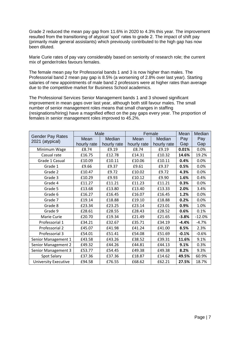Grade 2 reduced the mean pay gap from 11.6% in 2020 to 4.3% this year. The improvement resulted from the transitioning of atypical 'spot' rates to grade 2. The impact of shift pay (primarily male general assistants) which previously contributed to the high gap has now been diluted.

Marie Curie rates of pay vary considerably based on seniority of research role; the current mix of gender/roles favours females.

The female mean pay for Professorial bands 1 and 3 is now higher than males. The Professorial band 2 mean pay gap is 8.5% (a worsening of 2.8% over last year). Starting salaries of new appointments of male band 2 professors were at higher rates than average due to the competitive market for Business School academics.

The Professional Services Senior Management bands 1 and 3 showed significant improvement in mean gaps over last year, although both still favour males. The small number of senior management roles means that small changes in staffing (resignations/hiring) have a magnified effect on the pay gaps every year. The proportion of females in senior management roles improved to 45.2%.

| <b>Gender Pay Rates</b>     | Male        |             |             | Female      | Mean    | Median   |
|-----------------------------|-------------|-------------|-------------|-------------|---------|----------|
| 2021 (atypical)             | Mean        | Median      | Mean        | Median      | Pay     | Pay      |
|                             | hourly rate | hourly rate | hourly rate | hourly rate | Gap     | Gap      |
| Minimum Wage                | £8.74       | £9.19       | £8.74       | £9.19       | 0.01%   | 0.0%     |
| Casual rate                 | £16.75      | £12.78      | £14.31      | £10.32      | 14.6%   | 19.2%    |
| Grade 1 Casual              | £10.09      | £10.11      | £10.06      | £10.11      | 0.4%    | 0.0%     |
| Grade 1                     | £9.66       | £9.37       | £9.61       | £9.37       | 0.5%    | 0.0%     |
| Grade 2                     | £10.47      | £9.72       | £10.02      | £9.72       | 4.3%    | 0.0%     |
| Grade 3                     | £10.29      | £9.93       | £10.12      | £9.90       | 1.6%    | 0.4%     |
| Grade 4                     | £11.27      | £11.21      | £11.23      | £11.21      | 0.3%    | 0.0%     |
| Grade 5                     | £13.68      | £13.80      | £13.40      | £13.33      | 2.0%    | 3.4%     |
| Grade 6                     | £16.27      | £16.45      | £16.07      | £16.45      | 1.2%    | 0.0%     |
| Grade 7                     | £19.14      | £18.88      | £19.10      | £18.88      | 0.2%    | 0.0%     |
| Grade 8                     | £23.34      | £23.25      | £23.14      | £23.01      | 0.9%    | 1.0%     |
| Grade 9                     | £28.61      | £28.55      | £28.43      | £28.52      | 0.6%    | 0.1%     |
| Marie Curie                 | £20.70      | £19.34      | £21.49      | £21.65      | $-3.8%$ | $-12.0%$ |
| Professorial 1              | £34.21      | £32.67      | £35.71      | £34.19      | $-4.4%$ | $-4.7%$  |
| Professorial 2              | £45.07      | £41.98      | £41.24      | £41.00      | 8.5%    | 2.3%     |
| Professorial 3              | £54.01      | £51.41      | £54.08      | £51.69      | $-0.1%$ | $-0.6%$  |
| Senior Management 1         | £43.58      | £43.26      | £38.52      | £39.31      | 11.6%   | 9.1%     |
| Senior Management 2         | £49.32      | £44.26      | £44.81      | £44.13      | 9.1%    | 0.3%     |
| Senior Management 3         | £53.77      | £54.45      | £49.38      | £49.38      | 8.2%    | 9.3%     |
| Spot Salary                 | £37.36      | £37.36      | £18.87      | £14.62      | 49.5%   | 60.9%    |
| <b>University Executive</b> | £94.58      | £76.55      | £68.62      | £62.21      | 27.5%   | 18.7%    |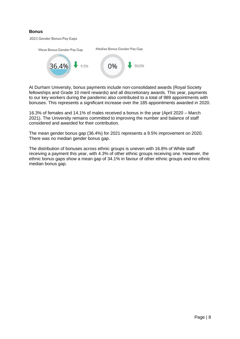### **Bonus**

2021 Gender Bonus Pay Gaps



At Durham University, bonus payments include non-consolidated awards (Royal Society fellowships and Grade 10 merit rewards) and all discretionary awards. This year, payments to our key workers during the pandemic also contributed to a total of 989 appointments with bonuses. This represents a significant increase over the 185 appointments awarded in 2020.

16.3% of females and 14.1% of males received a bonus in the year (April 2020 – March 2021). The University remains committed to improving the number and balance of staff considered and awarded for their contribution.

The mean gender bonus gap (36.4%) for 2021 represents a 9.5% improvement on 2020. There was no median gender bonus gap.

The distribution of bonuses across ethnic groups is uneven with 16.8% of White staff receiving a payment this year, with 4.3% of other ethnic groups receiving one. However, the ethnic bonus gaps show a mean gap of 34.1% in favour of other ethnic groups and no ethnic median bonus gap.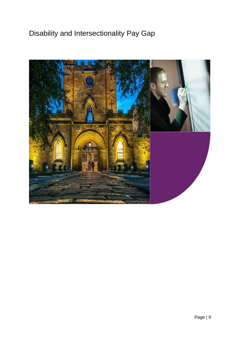# Disability and Intersectionality Pay Gap

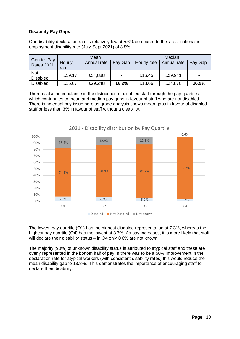#### **Disability Pay Gaps**

Our disability declaration rate is relatively low at 5.6% compared to the latest national inemployment disability rate (July-Sept 2021) of 8.8%.

|                                        |                | Mean        |                          |             | Median      |         |
|----------------------------------------|----------------|-------------|--------------------------|-------------|-------------|---------|
| <b>Gender Pay</b><br><b>Rates 2021</b> | Hourly<br>rate | Annual rate | Pay Gap                  | Hourly rate | Annual rate | Pay Gap |
| <b>Not</b><br><b>Disabled</b>          | £19.17         | £34,888     | $\overline{\phantom{0}}$ | £16.45      | £29,941     |         |
| <b>Disabled</b>                        | £16.07         | £29,248     | 16.2%                    | £13.66      | £24,870     | 16.9%   |

There is also an imbalance in the distribution of disabled staff through the pay quartiles, which contributes to mean and median pay gaps in favour of staff who are not disabled. There is no equal pay issue here as grade analysis shows mean gaps in favour of disabled staff or less than 3% in favour of staff without a disability.



The lowest pay quartile (Q1) has the highest disabled representation at 7.3%, whereas the highest pay quartile (Q4) has the lowest at 3.7%. As pay increases, it is more likely that staff will declare their disability status – in Q4 only 0.6% are not known.

The majority (90%) of unknown disability status is attributed to atypical staff and these are overly represented in the bottom half of pay. If there was to be a 50% improvement in the declaration rate for atypical workers (with consistent disability rates) this would reduce the mean disability gap to 13.8%. This demonstrates the importance of encouraging staff to declare their disability.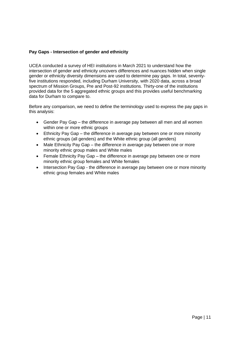### **Pay Gaps - Intersection of gender and ethnicity**

UCEA conducted a survey of HEI institutions in March 2021 to understand how the intersection of gender and ethnicity uncovers differences and nuances hidden when single gender or ethnicity diversity dimensions are used to determine pay gaps. In total, seventyfive institutions responded, including Durham University, with 2020 data, across a broad spectrum of Mission Groups, Pre and Post-92 institutions. Thirty-one of the institutions provided data for the 5 aggregated ethnic groups and this provides useful benchmarking data for Durham to compare to.

Before any comparison, we need to define the terminology used to express the pay gaps in this analysis:

- Gender Pay Gap the difference in average pay between all men and all women within one or more ethnic groups
- Ethnicity Pay Gap the difference in average pay between one or more minority ethnic groups (all genders) and the White ethnic group (all genders)
- Male Ethnicity Pay Gap the difference in average pay between one or more minority ethnic group males and White males
- Female Ethnicity Pay Gap the difference in average pay between one or more minority ethnic group females and White females
- Intersection Pay Gap the difference in average pay between one or more minority ethnic group females and White males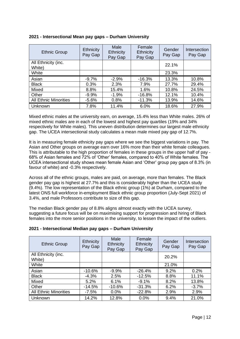| <b>Ethnic Group</b>           | <b>Ethnicity</b><br>Pay Gap | Male<br>Ethnicity<br>Pay Gap | Female<br>Ethnicity<br>Pay Gap | Gender<br>Pay Gap | Intersection<br>Pay Gap |
|-------------------------------|-----------------------------|------------------------------|--------------------------------|-------------------|-------------------------|
| All Ethnicity (inc.<br>White) |                             |                              |                                | 22.1%             |                         |
| White                         |                             |                              |                                | 23.3%             |                         |
| Asian                         | $-9.7%$                     | $-2.9%$                      | $-16.3%$                       | 13.3%             | 10.8%                   |
| <b>Black</b>                  | 0.3%                        | 2.3%                         | 7.9%                           | 27.7%             | 29.4%                   |
| Mixed                         | 8.8%                        | 15.4%                        | 1.6%                           | 10.8%             | 24.5%                   |
| Other                         | $-9.9%$                     | $-1.9%$                      | $-16.8%$                       | 12.1%             | 10.4%                   |
| <b>All Ethnic Minorities</b>  | $-5.6%$                     | 0.8%                         | $-11.3%$                       | 13.9%             | 14.6%                   |
| <b>Unknown</b>                | 7.8%                        | 11.4%                        | 6.0%                           | 18.6%             | 27.9%                   |

### **2021 - Intersectional Mean pay gaps – Durham University**

Mixed ethnic males at the university earn, on average, 15.4% less than White males. 26% of mixed ethnic males are in each of the lowest and highest pay quartiles (19% and 34% respectively for White males). This uneven distribution determines our largest male ethnicity gap. The UCEA intersectional study calculates a mean male mixed pay gap of 12.7%.

It is in measuring female ethnicity pay gaps where we see the biggest variations in pay. The Asian and Other groups on average earn over 16% more than their white female colleagues. This is attributable to the high proportion of females in these groups in the upper half of pay - 68% of Asian females and 72% of 'Other' females, compared to 40% of White females. The UCEA intersectional study shows mean female Asian and 'Other' group pay gaps of 8.3% (in favour of white) and -0.3% respectively.

Across all of the ethnic groups, males are paid, on average, more than females. The Black gender pay gap is highest at 27.7% and this is considerably higher than the UCEA study (9.4%). The low representation of the Black ethnic group (1%) at Durham, compared to the latest ONS full workforce in-employment Black ethnic group proportion (July-Sept 2021) of 3.4%, and male Professors contribute to size of this gap.

The median Black gender pay of 8.8% aligns almost exactly with the UCEA survey, suggesting a future focus will be on maximising support for progression and hiring of Black females into the more senior positions in the university, to lessen the impact of the outliers.

| <b>Ethnic Group</b>           | Ethnicity<br>Pay Gap | Male<br>Ethnicity<br>Pay Gap | Female<br>Ethnicity<br>Pay Gap | Gender<br>Pay Gap | Intersection<br>Pay Gap |
|-------------------------------|----------------------|------------------------------|--------------------------------|-------------------|-------------------------|
| All Ethnicity (inc.<br>White) |                      |                              |                                | 20.2%             |                         |
| White                         |                      |                              |                                | 21.0%             |                         |
| Asian                         | $-10.6%$             | $-9.9%$                      | $-26.4%$                       | 9.2%              | 0.2%                    |
|                               |                      |                              |                                |                   |                         |
| <b>Black</b>                  | $-4.3%$              | 2.5%                         | $-12.5%$                       | 8.8%              | 11.1%                   |
| Mixed                         | 5.2%                 | 6.1%                         | $-9.1%$                        | 8.2%              | 13.8%                   |
| Other                         | $-14.5%$             | $-10.6%$                     | $-31.3%$                       | 6.2%              | $-3.7%$                 |
| <b>All Ethnic Minorities</b>  | $-7.5%$              | 0.0%                         | $-22.8%$                       | 2.9%              | 2.9%                    |

#### **2021 - Intersectional Median pay gaps – Durham University**